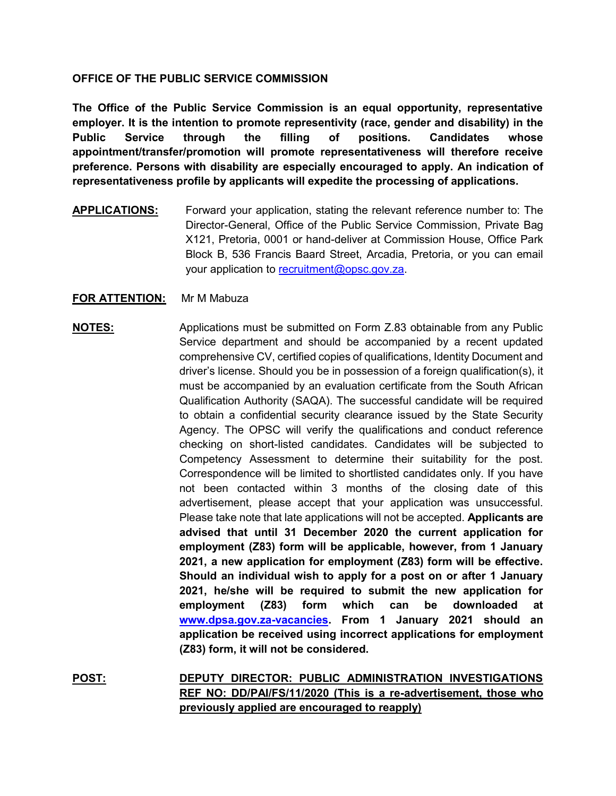## **OFFICE OF THE PUBLIC SERVICE COMMISSION**

**The Office of the Public Service Commission is an equal opportunity, representative employer. It is the intention to promote representivity (race, gender and disability) in the Public Service through the filling of positions. Candidates whose appointment/transfer/promotion will promote representativeness will therefore receive preference. Persons with disability are especially encouraged to apply. An indication of representativeness profile by applicants will expedite the processing of applications.**

**APPLICATIONS:** Forward your application, stating the relevant reference number to: The Director-General, Office of the Public Service Commission, Private Bag X121, Pretoria, 0001 or hand-deliver at Commission House, Office Park Block B, 536 Francis Baard Street, Arcadia, Pretoria, or you can email your application to [recruitment@opsc.gov.za.](mailto:recruitment@opsc.gov.za)

## **FOR ATTENTION:** Mr M Mabuza

## **NOTES:** Applications must be submitted on Form Z.83 obtainable from any Public Service department and should be accompanied by a recent updated comprehensive CV, certified copies of qualifications, Identity Document and driver's license. Should you be in possession of a foreign qualification(s), it must be accompanied by an evaluation certificate from the South African Qualification Authority (SAQA). The successful candidate will be required to obtain a confidential security clearance issued by the State Security Agency. The OPSC will verify the qualifications and conduct reference checking on short-listed candidates. Candidates will be subjected to Competency Assessment to determine their suitability for the post. Correspondence will be limited to shortlisted candidates only. If you have not been contacted within 3 months of the closing date of this advertisement, please accept that your application was unsuccessful. Please take note that late applications will not be accepted. **Applicants are advised that until 31 December 2020 the current application for employment (Z83) form will be applicable, however, from 1 January 2021, a new application for employment (Z83) form will be effective. Should an individual wish to apply for a post on or after 1 January 2021, he/she will be required to submit the new application for employment (Z83) form which can be downloaded at [www.dpsa.gov.za-vacancies.](http://www.dpsa.gov.za-vacancies/) From 1 January 2021 should an application be received using incorrect applications for employment (Z83) form, it will not be considered.**

**POST: DEPUTY DIRECTOR: PUBLIC ADMINISTRATION INVESTIGATIONS REF NO: DD/PAI/FS/11/2020 (This is a re-advertisement, those who previously applied are encouraged to reapply)**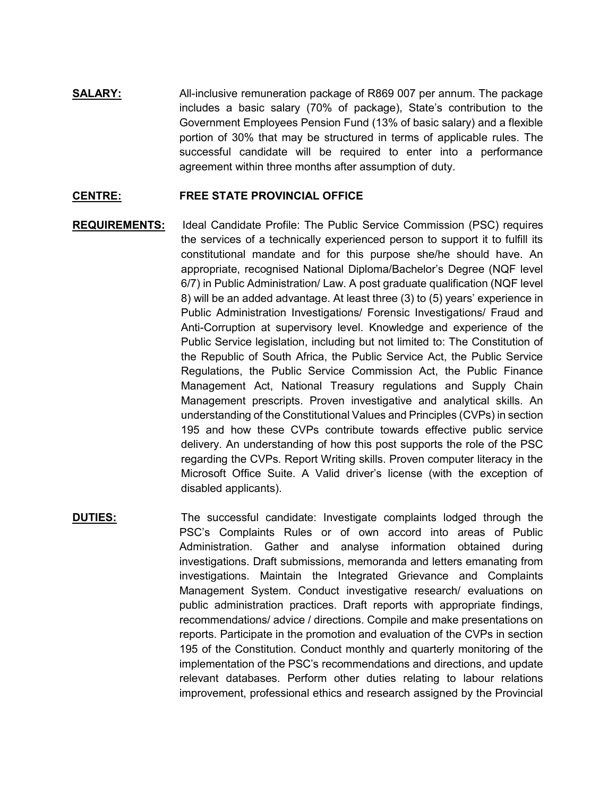**SALARY:** All-inclusive remuneration package of R869 007 per annum. The package includes a basic salary (70% of package), State's contribution to the Government Employees Pension Fund (13% of basic salary) and a flexible portion of 30% that may be structured in terms of applicable rules. The successful candidate will be required to enter into a performance agreement within three months after assumption of duty.

## **CENTRE: FREE STATE PROVINCIAL OFFICE**

- **REQUIREMENTS:** Ideal Candidate Profile: The Public Service Commission (PSC) requires the services of a technically experienced person to support it to fulfill its constitutional mandate and for this purpose she/he should have. An appropriate, recognised National Diploma/Bachelor's Degree (NQF level 6/7) in Public Administration/ Law. A post graduate qualification (NQF level 8) will be an added advantage. At least three (3) to (5) years' experience in Public Administration Investigations/ Forensic Investigations/ Fraud and Anti-Corruption at supervisory level. Knowledge and experience of the Public Service legislation, including but not limited to: The Constitution of the Republic of South Africa, the Public Service Act, the Public Service Regulations, the Public Service Commission Act, the Public Finance Management Act, National Treasury regulations and Supply Chain Management prescripts. Proven investigative and analytical skills. An understanding of the Constitutional Values and Principles (CVPs) in section 195 and how these CVPs contribute towards effective public service delivery. An understanding of how this post supports the role of the PSC regarding the CVPs. Report Writing skills. Proven computer literacy in the Microsoft Office Suite. A Valid driver's license (with the exception of disabled applicants).
- **DUTIES:** The successful candidate: Investigate complaints lodged through the PSC's Complaints Rules or of own accord into areas of Public Administration. Gather and analyse information obtained during investigations. Draft submissions, memoranda and letters emanating from investigations. Maintain the Integrated Grievance and Complaints Management System. Conduct investigative research/ evaluations on public administration practices. Draft reports with appropriate findings, recommendations/ advice / directions. Compile and make presentations on reports. Participate in the promotion and evaluation of the CVPs in section 195 of the Constitution. Conduct monthly and quarterly monitoring of the implementation of the PSC's recommendations and directions, and update relevant databases. Perform other duties relating to labour relations improvement, professional ethics and research assigned by the Provincial